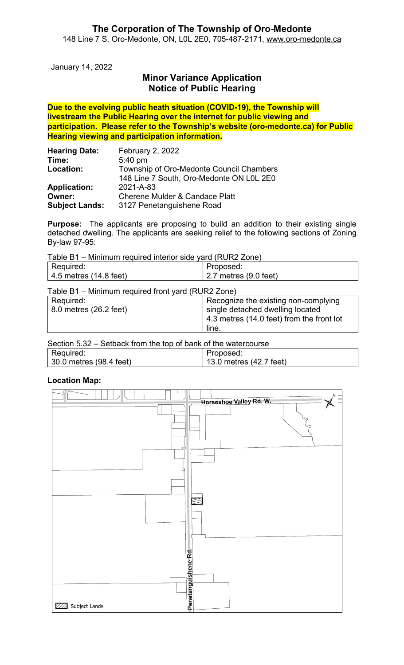January 14, 2022

# Minor Variance Application Notice of Public Hearing

Due to the evolving public heath situation (COVID-19), the Township will livestream the Public Hearing over the internet for public viewing and participation. Please refer to the Township's website (oro-medonte.ca) for Public Hearing viewing and participation information.

| <b>Hearing Date:</b>  | February 2, 2022                          |  |
|-----------------------|-------------------------------------------|--|
| Time:                 | $5:40$ pm                                 |  |
| Location:             | Township of Oro-Medonte Council Chambers  |  |
|                       | 148 Line 7 South, Oro-Medonte ON L0L 2E0  |  |
| <b>Application:</b>   | 2021-A-83                                 |  |
| Owner:                | <b>Cherene Mulder &amp; Candace Platt</b> |  |
| <b>Subject Lands:</b> | 3127 Penetanguishene Road                 |  |

Purpose: The applicants are proposing to build an addition to their existing single detached dwelling. The applicants are seeking relief to the following sections of Zoning By-law 97-95:

Table B1 – Minimum required interior side yard (RUR2 Zone)

| Required:                                          | Proposed:                                 |  |  |
|----------------------------------------------------|-------------------------------------------|--|--|
| 4.5 metres (14.8 feet)                             | 2.7 metres $(9.0 \text{ feet})$           |  |  |
| Table B1 - Minimum required front yard (RUR2 Zone) |                                           |  |  |
| Required:                                          | Recognize the existing non-complying      |  |  |
| 8.0 metres (26.2 feet)                             | single detached dwelling located          |  |  |
|                                                    | 4.3 metres (14.0 feet) from the front lot |  |  |
|                                                    | line.                                     |  |  |

| Section 5.32 – Setback from the top of bank of the watercourse |                                 |  |  |
|----------------------------------------------------------------|---------------------------------|--|--|
| Required:                                                      | Proposed:                       |  |  |
| 30.0 metres (98.4 feet)                                        | $\vert$ 13.0 metres (42.7 feet) |  |  |

#### Location Map:

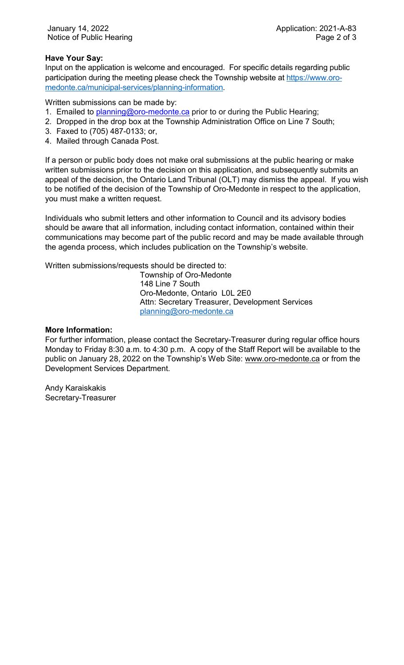#### Have Your Say:

Input on the application is welcome and encouraged. For specific details regarding public participation during the meeting please check the Township website at https://www.oromedonte.ca/municipal-services/planning-information.

Written submissions can be made by:

- 1. Emailed to planning@oro-medonte.ca prior to or during the Public Hearing;
- 2. Dropped in the drop box at the Township Administration Office on Line 7 South;
- 3. Faxed to (705) 487-0133; or,
- 4. Mailed through Canada Post.

If a person or public body does not make oral submissions at the public hearing or make written submissions prior to the decision on this application, and subsequently submits an appeal of the decision, the Ontario Land Tribunal (OLT) may dismiss the appeal. If you wish to be notified of the decision of the Township of Oro-Medonte in respect to the application, you must make a written request.

Individuals who submit letters and other information to Council and its advisory bodies should be aware that all information, including contact information, contained within their communications may become part of the public record and may be made available through the agenda process, which includes publication on the Township's website.

Written submissions/requests should be directed to:

Township of Oro-Medonte 148 Line 7 South Oro-Medonte, Ontario L0L 2E0 Attn: Secretary Treasurer, Development Services planning@oro-medonte.ca

#### More Information:

For further information, please contact the Secretary-Treasurer during regular office hours Monday to Friday 8:30 a.m. to 4:30 p.m. A copy of the Staff Report will be available to the public on January 28, 2022 on the Township's Web Site: www.oro-medonte.ca or from the Development Services Department.

Andy Karaiskakis Secretary-Treasurer